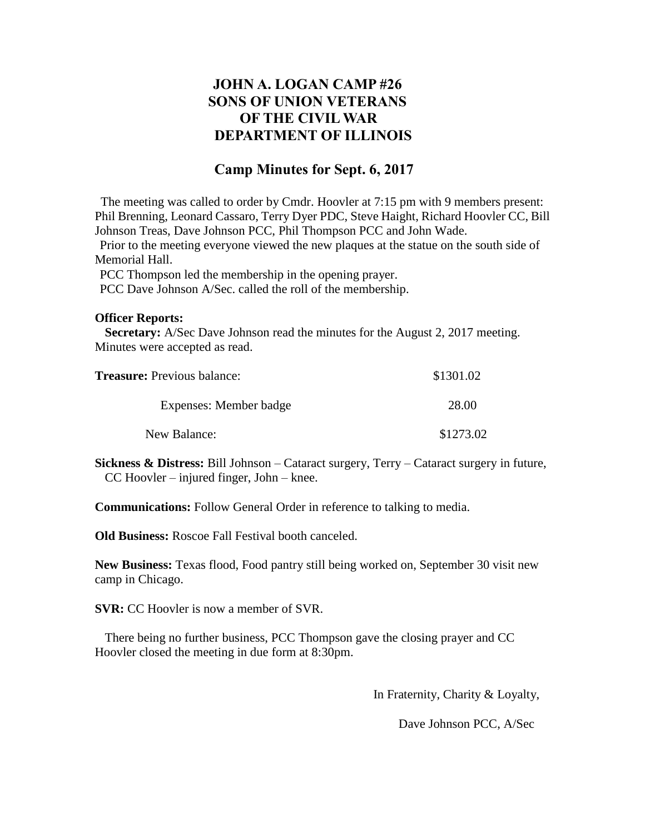## **JOHN A. LOGAN CAMP #26 SONS OF UNION VETERANS OF THE CIVIL WAR DEPARTMENT OF ILLINOIS**

## **Camp Minutes for Sept. 6, 2017**

The meeting was called to order by Cmdr. Hoovler at 7:15 pm with 9 members present: Phil Brenning, Leonard Cassaro, Terry Dyer PDC, Steve Haight, Richard Hoovler CC, Bill Johnson Treas, Dave Johnson PCC, Phil Thompson PCC and John Wade.

Prior to the meeting everyone viewed the new plaques at the statue on the south side of Memorial Hall.

PCC Thompson led the membership in the opening prayer.

PCC Dave Johnson A/Sec. called the roll of the membership.

## **Officer Reports:**

 **Secretary:** A/Sec Dave Johnson read the minutes for the August 2, 2017 meeting. Minutes were accepted as read.

| <b>Treasure:</b> Previous balance: | \$1301.02 |
|------------------------------------|-----------|
| Expenses: Member badge             | 28.00     |
| New Balance:                       | \$1273.02 |

**Sickness & Distress:** Bill Johnson – Cataract surgery, Terry – Cataract surgery in future, CC Hoovler – injured finger, John – knee.

**Communications:** Follow General Order in reference to talking to media.

**Old Business:** Roscoe Fall Festival booth canceled.

**New Business:** Texas flood, Food pantry still being worked on, September 30 visit new camp in Chicago.

**SVR:** CC Hoovler is now a member of SVR.

 There being no further business, PCC Thompson gave the closing prayer and CC Hoovler closed the meeting in due form at 8:30pm.

In Fraternity, Charity & Loyalty,

Dave Johnson PCC, A/Sec